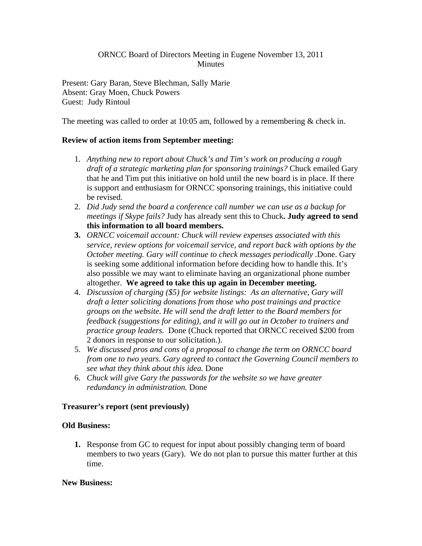# ORNCC Board of Directors Meeting in Eugene November 13, 2011 **Minutes**

Present: Gary Baran, Steve Blechman, Sally Marie Absent: Gray Moen, Chuck Powers Guest: Judy Rintoul

The meeting was called to order at 10:05 am, followed by a remembering & check in.

## **Review of action items from September meeting:**

- 1. *Anything new to report about Chuck's and Tim's work on producing a rough draft of a strategic marketing plan for sponsoring trainings?* Chuck emailed Gary that he and Tim put this initiative on hold until the new board is in place. If there is support and enthusiasm for ORNCC sponsoring trainings, this initiative could be revised.
- 2. *Did Judy send the board a conference call number we can use as a backup for meetings if Skype fails?* Judy has already sent this to Chuck**. Judy agreed to send this information to all board members.**
- **3.** *ORNCC voicemail account: Chuck will review expenses associated with this service, review options for voicemail service, and report back with options by the October meeting. Gary will continue to check messages periodically .*Done. Gary is seeking some additional information before deciding how to handle this. It's also possible we may want to eliminate having an organizational phone number altogether. **We agreed to take this up again in December meeting.**
- 4. *Discussion of charging (\$5) for website listings: As an alternative, Gary will draft a letter soliciting donations from those who post trainings and practice groups on the website. He will send the draft letter to the Board members for feedback (suggestions for editing), and it will go out in October to trainers and practice group leaders.* Done (Chuck reported that ORNCC received \$200 from 2 donors in response to our solicitation.).
- 5. *We discussed pros and cons of a proposal to change the term on ORNCC board from one to two years. Gary agreed to contact the Governing Council members to see what they think about this idea.* Done
- 6. *Chuck will give Gary the passwords for the website so we have greater redundancy in administration.* Done

### **Treasurer's report (sent previously)**

### **Old Business:**

**1.** Response from GC to request for input about possibly changing term of board members to two years (Gary). We do not plan to pursue this matter further at this time.

### **New Business:**